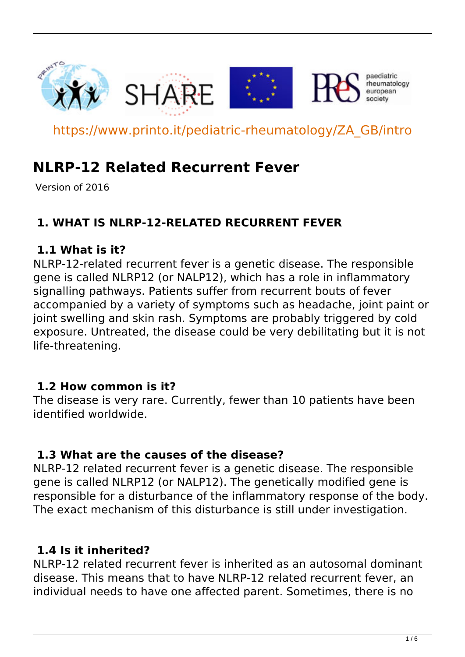

https://www.printo.it/pediatric-rheumatology/ZA\_GB/intro

# **NLRP-12 Related Recurrent Fever**

Version of 2016

# **1. WHAT IS NLRP-12-RELATED RECURRENT FEVER**

#### **1.1 What is it?**

NLRP-12-related recurrent fever is a genetic disease. The responsible gene is called NLRP12 (or NALP12), which has a role in inflammatory signalling pathways. Patients suffer from recurrent bouts of fever accompanied by a variety of symptoms such as headache, joint paint or joint swelling and skin rash. Symptoms are probably triggered by cold exposure. Untreated, the disease could be very debilitating but it is not life-threatening.

#### **1.2 How common is it?**

The disease is very rare. Currently, fewer than 10 patients have been identified worldwide.

#### **1.3 What are the causes of the disease?**

NLRP-12 related recurrent fever is a genetic disease. The responsible gene is called NLRP12 (or NALP12). The genetically modified gene is responsible for a disturbance of the inflammatory response of the body. The exact mechanism of this disturbance is still under investigation.

# **1.4 Is it inherited?**

NLRP-12 related recurrent fever is inherited as an autosomal dominant disease. This means that to have NLRP-12 related recurrent fever, an individual needs to have one affected parent. Sometimes, there is no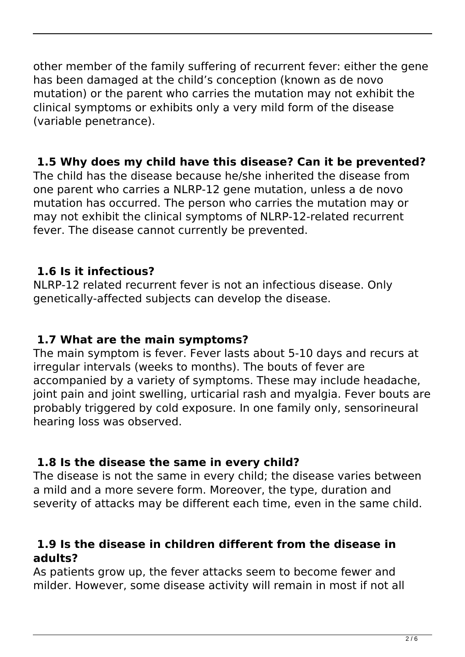other member of the family suffering of recurrent fever: either the gene has been damaged at the child's conception (known as de novo mutation) or the parent who carries the mutation may not exhibit the clinical symptoms or exhibits only a very mild form of the disease (variable penetrance).

### **1.5 Why does my child have this disease? Can it be prevented?**

The child has the disease because he/she inherited the disease from one parent who carries a NLRP-12 gene mutation, unless a de novo mutation has occurred. The person who carries the mutation may or may not exhibit the clinical symptoms of NLRP-12-related recurrent fever. The disease cannot currently be prevented.

# **1.6 Is it infectious?**

NLRP-12 related recurrent fever is not an infectious disease. Only genetically-affected subjects can develop the disease.

#### **1.7 What are the main symptoms?**

The main symptom is fever. Fever lasts about 5-10 days and recurs at irregular intervals (weeks to months). The bouts of fever are accompanied by a variety of symptoms. These may include headache, joint pain and joint swelling, urticarial rash and myalgia. Fever bouts are probably triggered by cold exposure. In one family only, sensorineural hearing loss was observed.

# **1.8 Is the disease the same in every child?**

The disease is not the same in every child; the disease varies between a mild and a more severe form. Moreover, the type, duration and severity of attacks may be different each time, even in the same child.

#### **1.9 Is the disease in children different from the disease in adults?**

As patients grow up, the fever attacks seem to become fewer and milder. However, some disease activity will remain in most if not all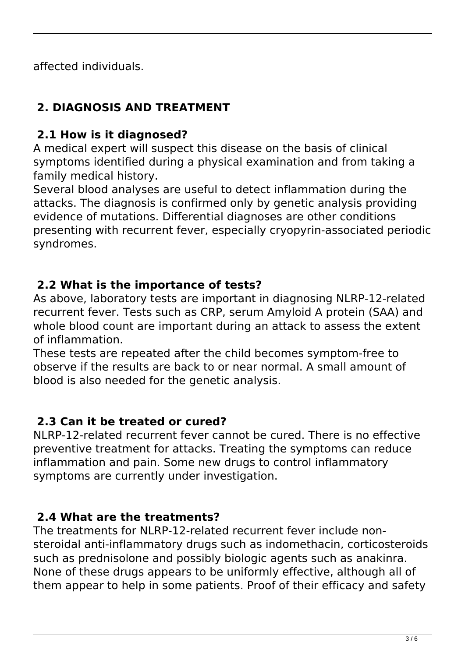affected individuals.

# **2. DIAGNOSIS AND TREATMENT**

# **2.1 How is it diagnosed?**

A medical expert will suspect this disease on the basis of clinical symptoms identified during a physical examination and from taking a family medical history.

Several blood analyses are useful to detect inflammation during the attacks. The diagnosis is confirmed only by genetic analysis providing evidence of mutations. Differential diagnoses are other conditions presenting with recurrent fever, especially cryopyrin-associated periodic syndromes.

# **2.2 What is the importance of tests?**

As above, laboratory tests are important in diagnosing NLRP-12-related recurrent fever. Tests such as CRP, serum Amyloid A protein (SAA) and whole blood count are important during an attack to assess the extent of inflammation.

These tests are repeated after the child becomes symptom-free to observe if the results are back to or near normal. A small amount of blood is also needed for the genetic analysis.

# **2.3 Can it be treated or cured?**

NLRP-12-related recurrent fever cannot be cured. There is no effective preventive treatment for attacks. Treating the symptoms can reduce inflammation and pain. Some new drugs to control inflammatory symptoms are currently under investigation.

# **2.4 What are the treatments?**

The treatments for NLRP-12-related recurrent fever include nonsteroidal anti-inflammatory drugs such as indomethacin, corticosteroids such as prednisolone and possibly biologic agents such as anakinra. None of these drugs appears to be uniformly effective, although all of them appear to help in some patients. Proof of their efficacy and safety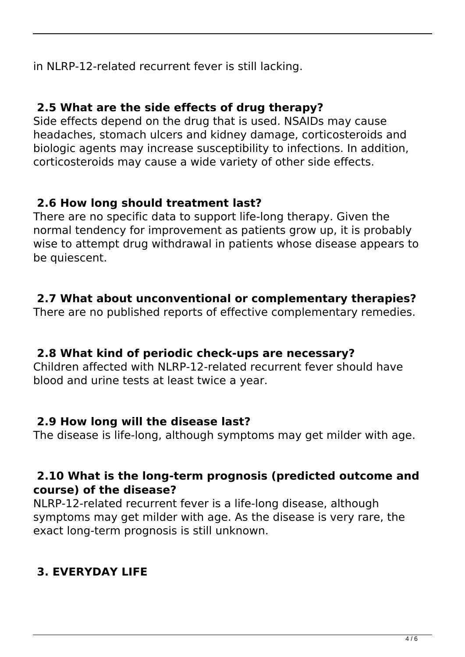in NLRP-12-related recurrent fever is still lacking.

#### **2.5 What are the side effects of drug therapy?**

Side effects depend on the drug that is used. NSAIDs may cause headaches, stomach ulcers and kidney damage, corticosteroids and biologic agents may increase susceptibility to infections. In addition, corticosteroids may cause a wide variety of other side effects.

### **2.6 How long should treatment last?**

There are no specific data to support life-long therapy. Given the normal tendency for improvement as patients grow up, it is probably wise to attempt drug withdrawal in patients whose disease appears to be quiescent.

### **2.7 What about unconventional or complementary therapies?**

There are no published reports of effective complementary remedies.

#### **2.8 What kind of periodic check-ups are necessary?**

Children affected with NLRP-12-related recurrent fever should have blood and urine tests at least twice a year.

#### **2.9 How long will the disease last?**

The disease is life-long, although symptoms may get milder with age.

#### **2.10 What is the long-term prognosis (predicted outcome and course) of the disease?**

NLRP-12-related recurrent fever is a life-long disease, although symptoms may get milder with age. As the disease is very rare, the exact long-term prognosis is still unknown.

# **3. EVERYDAY LIFE**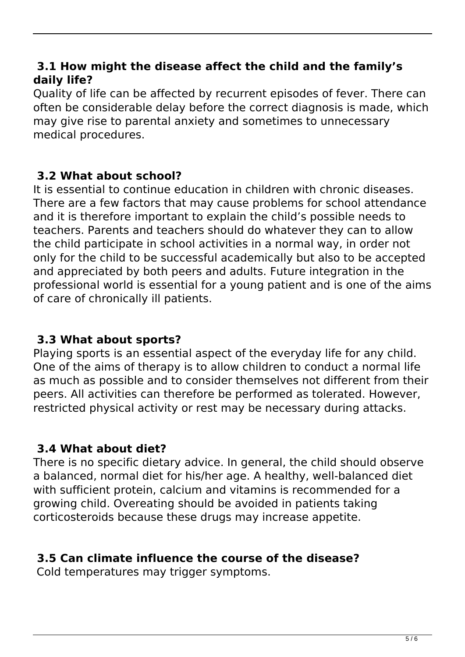#### **3.1 How might the disease affect the child and the family's daily life?**

Quality of life can be affected by recurrent episodes of fever. There can often be considerable delay before the correct diagnosis is made, which may give rise to parental anxiety and sometimes to unnecessary medical procedures.

# **3.2 What about school?**

It is essential to continue education in children with chronic diseases. There are a few factors that may cause problems for school attendance and it is therefore important to explain the child's possible needs to teachers. Parents and teachers should do whatever they can to allow the child participate in school activities in a normal way, in order not only for the child to be successful academically but also to be accepted and appreciated by both peers and adults. Future integration in the professional world is essential for a young patient and is one of the aims of care of chronically ill patients.

#### **3.3 What about sports?**

Playing sports is an essential aspect of the everyday life for any child. One of the aims of therapy is to allow children to conduct a normal life as much as possible and to consider themselves not different from their peers. All activities can therefore be performed as tolerated. However, restricted physical activity or rest may be necessary during attacks.

# **3.4 What about diet?**

There is no specific dietary advice. In general, the child should observe a balanced, normal diet for his/her age. A healthy, well-balanced diet with sufficient protein, calcium and vitamins is recommended for a growing child. Overeating should be avoided in patients taking corticosteroids because these drugs may increase appetite.

# **3.5 Can climate influence the course of the disease?**

Cold temperatures may trigger symptoms.